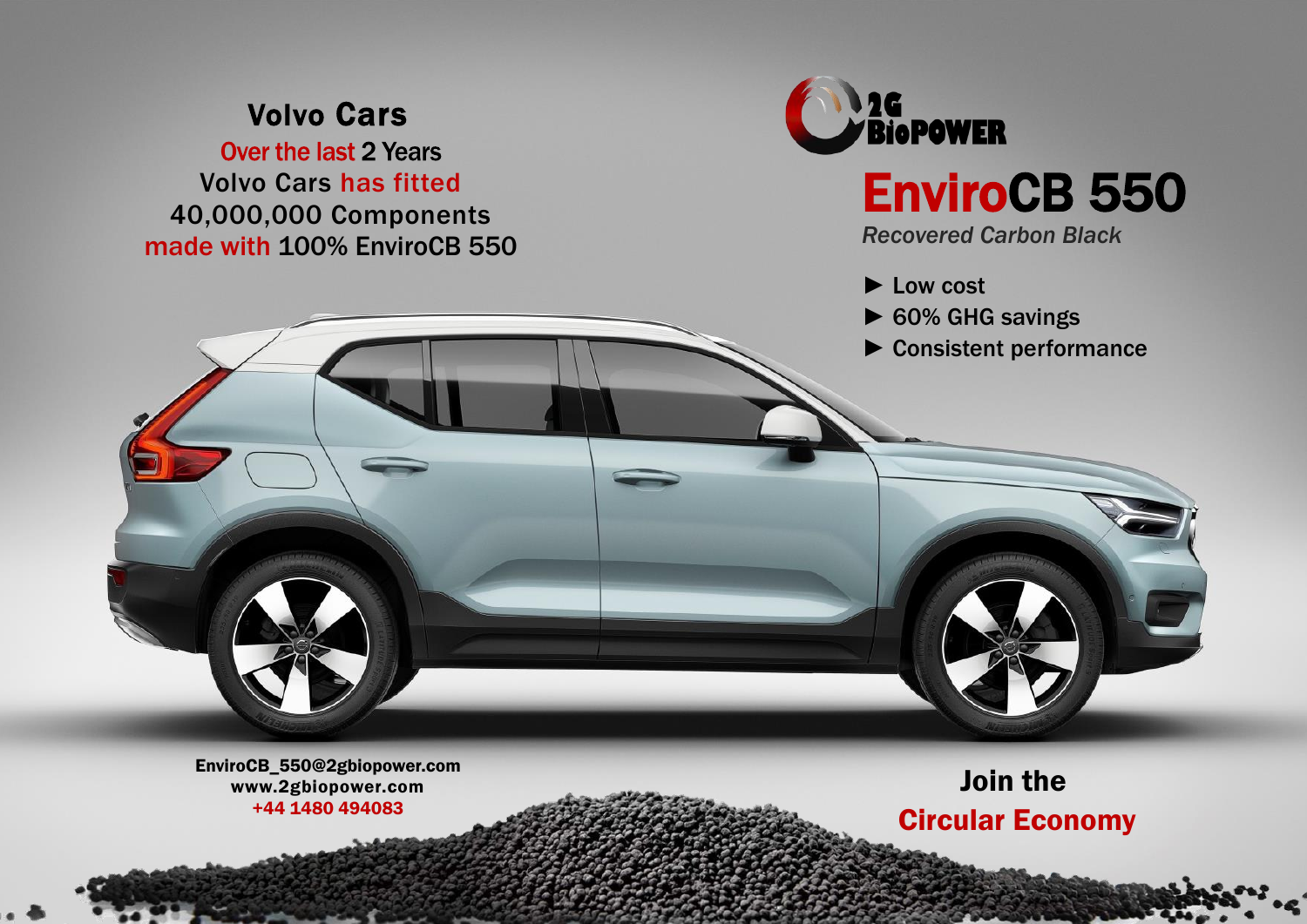## Volvo Cars

Over the last 2 Years Volvo Cars has fitted 40,000,000 Components made with 100% EnviroCB 550



# EnviroCB 550

*Recovered Carbon Black*

- ► Low cost
- ► 60% GHG savings
- ► Consistent performance



EnviroCB\_550@2gbiopower.com www.2gbiopower.com +44 1480 494083

Join the Circular Economy